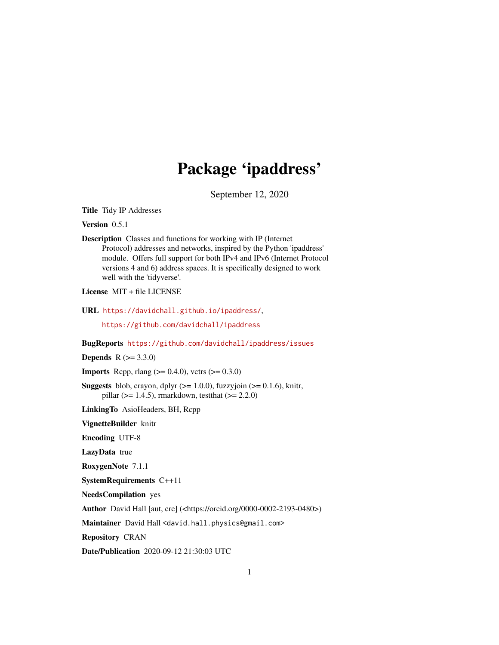# Package 'ipaddress'

September 12, 2020

<span id="page-0-0"></span>Title Tidy IP Addresses

Version 0.5.1

Description Classes and functions for working with IP (Internet Protocol) addresses and networks, inspired by the Python 'ipaddress' module. Offers full support for both IPv4 and IPv6 (Internet Protocol versions 4 and 6) address spaces. It is specifically designed to work well with the 'tidyverse'.

License MIT + file LICENSE

URL <https://davidchall.github.io/ipaddress/>,

<https://github.com/davidchall/ipaddress>

BugReports <https://github.com/davidchall/ipaddress/issues>

**Depends**  $R (= 3.3.0)$ 

**Imports** Rcpp, rlang  $(>= 0.4.0)$ , vctrs  $(>= 0.3.0)$ 

**Suggests** blob, crayon, dplyr  $(>= 1.0.0)$ , fuzzyjoin  $(>= 0.1.6)$ , knitr, pillar ( $> = 1.4.5$ ), rmarkdown, test that ( $> = 2.2.0$ )

LinkingTo AsioHeaders, BH, Rcpp

VignetteBuilder knitr

Encoding UTF-8

LazyData true

RoxygenNote 7.1.1

SystemRequirements C++11

NeedsCompilation yes

Author David Hall [aut, cre] (<https://orcid.org/0000-0002-2193-0480>)

Maintainer David Hall <david.hall.physics@gmail.com>

Repository CRAN

Date/Publication 2020-09-12 21:30:03 UTC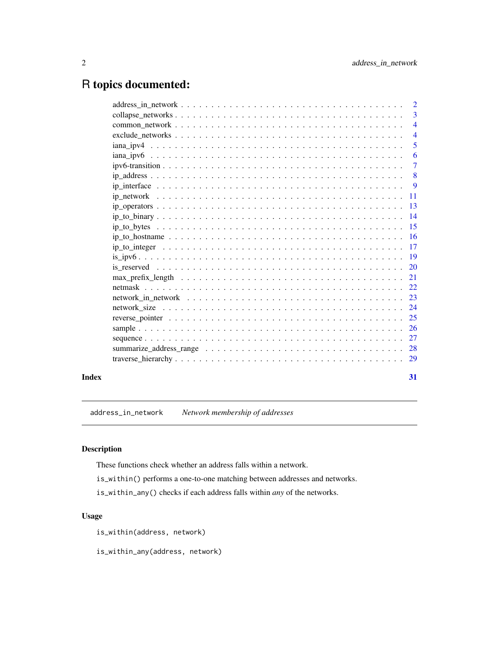# <span id="page-1-0"></span>R topics documented:

|       | $\overline{3}$ |
|-------|----------------|
|       | $\overline{4}$ |
|       |                |
|       | 5              |
|       | -6             |
|       |                |
|       |                |
|       |                |
|       |                |
|       |                |
|       |                |
|       |                |
|       |                |
|       |                |
|       |                |
|       |                |
|       |                |
|       |                |
|       |                |
|       |                |
|       |                |
|       |                |
|       |                |
|       |                |
|       |                |
|       |                |
| Index | 31             |

address\_in\_network *Network membership of addresses*

# <span id="page-1-1"></span>Description

These functions check whether an address falls within a network.

is\_within() performs a one-to-one matching between addresses and networks.

is\_within\_any() checks if each address falls within *any* of the networks.

# Usage

is\_within(address, network)

is\_within\_any(address, network)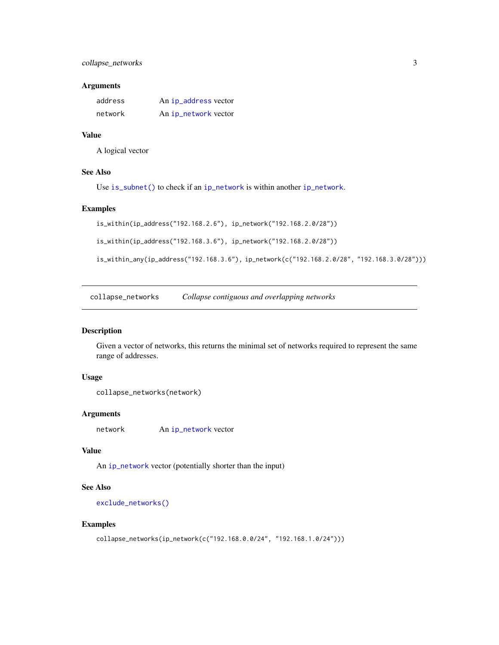# <span id="page-2-0"></span>collapse\_networks 3

# Arguments

| address | An ip_address vector |
|---------|----------------------|
| network | An ip_network vector |

# Value

A logical vector

#### See Also

Use [is\\_subnet\(\)](#page-22-1) to check if an [ip\\_network](#page-10-1) is within another [ip\\_network](#page-10-1).

#### Examples

```
is_within(ip_address("192.168.2.6"), ip_network("192.168.2.0/28"))
```
is\_within(ip\_address("192.168.3.6"), ip\_network("192.168.2.0/28"))

is\_within\_any(ip\_address("192.168.3.6"), ip\_network(c("192.168.2.0/28", "192.168.3.0/28")))

<span id="page-2-1"></span>collapse\_networks *Collapse contiguous and overlapping networks*

#### Description

Given a vector of networks, this returns the minimal set of networks required to represent the same range of addresses.

# Usage

collapse\_networks(network)

#### Arguments

network An [ip\\_network](#page-10-1) vector

# Value

An [ip\\_network](#page-10-1) vector (potentially shorter than the input)

# See Also

[exclude\\_networks\(\)](#page-3-1)

# Examples

```
collapse_networks(ip_network(c("192.168.0.0/24", "192.168.1.0/24")))
```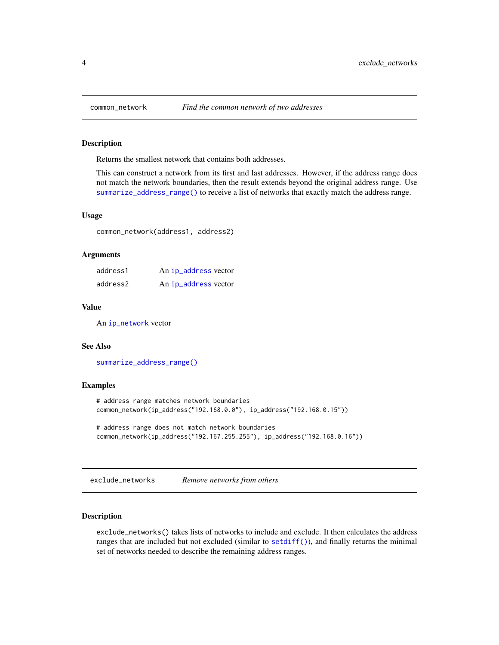# **Description**

Returns the smallest network that contains both addresses.

This can construct a network from its first and last addresses. However, if the address range does not match the network boundaries, then the result extends beyond the original address range. Use [summarize\\_address\\_range\(\)](#page-27-1) to receive a list of networks that exactly match the address range.

# Usage

common\_network(address1, address2)

# Arguments

| address1 | An ip_address vector |
|----------|----------------------|
| address2 | An ip_address vector |

#### Value

An [ip\\_network](#page-10-1) vector

#### See Also

[summarize\\_address\\_range\(\)](#page-27-1)

# Examples

```
# address range matches network boundaries
common_network(ip_address("192.168.0.0"), ip_address("192.168.0.15"))
```
# address range does not match network boundaries common\_network(ip\_address("192.167.255.255"), ip\_address("192.168.0.16"))

<span id="page-3-1"></span>exclude\_networks *Remove networks from others*

#### Description

exclude\_networks() takes lists of networks to include and exclude. It then calculates the address ranges that are included but not excluded (similar to  $setdiff()$ ), and finally returns the minimal set of networks needed to describe the remaining address ranges.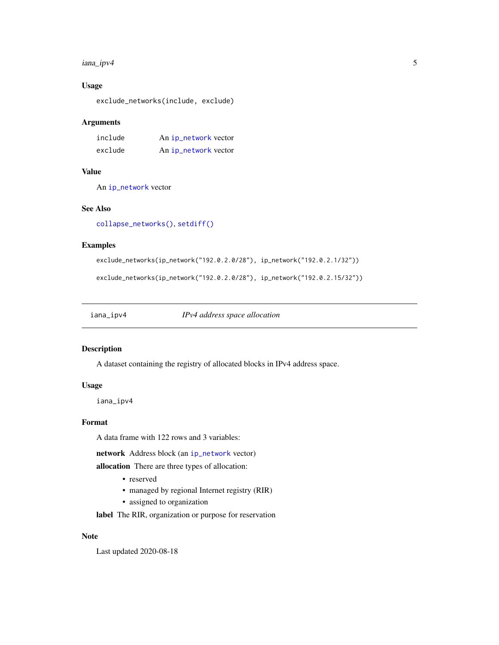#### <span id="page-4-0"></span>iana\_ipv4 5

# Usage

exclude\_networks(include, exclude)

#### Arguments

| include | An ip_network vector |
|---------|----------------------|
| exclude | An ip_network vector |

#### Value

An [ip\\_network](#page-10-1) vector

#### See Also

[collapse\\_networks\(\)](#page-2-1), [setdiff\(\)](#page-0-0)

#### Examples

exclude\_networks(ip\_network("192.0.2.0/28"), ip\_network("192.0.2.1/32"))

exclude\_networks(ip\_network("192.0.2.0/28"), ip\_network("192.0.2.15/32"))

iana\_ipv4 *IPv4 address space allocation*

# Description

A dataset containing the registry of allocated blocks in IPv4 address space.

# Usage

iana\_ipv4

#### Format

A data frame with 122 rows and 3 variables:

network Address block (an [ip\\_network](#page-10-1) vector)

allocation There are three types of allocation:

- reserved
- managed by regional Internet registry (RIR)
- assigned to organization

label The RIR, organization or purpose for reservation

# Note

Last updated 2020-08-18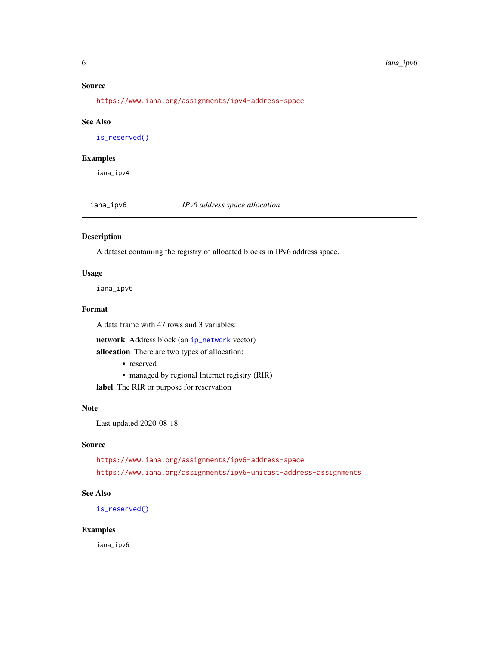# <span id="page-5-0"></span>Source

<https://www.iana.org/assignments/ipv4-address-space>

#### See Also

[is\\_reserved\(\)](#page-19-1)

#### Examples

iana\_ipv4

iana\_ipv6 *IPv6 address space allocation*

# Description

A dataset containing the registry of allocated blocks in IPv6 address space.

# Usage

iana\_ipv6

# Format

A data frame with 47 rows and 3 variables:

network Address block (an [ip\\_network](#page-10-1) vector)

allocation There are two types of allocation:

- reserved
- managed by regional Internet registry (RIR)
- label The RIR or purpose for reservation

# Note

Last updated 2020-08-18

### Source

<https://www.iana.org/assignments/ipv6-address-space> <https://www.iana.org/assignments/ipv6-unicast-address-assignments>

# See Also

[is\\_reserved\(\)](#page-19-1)

#### Examples

iana\_ipv6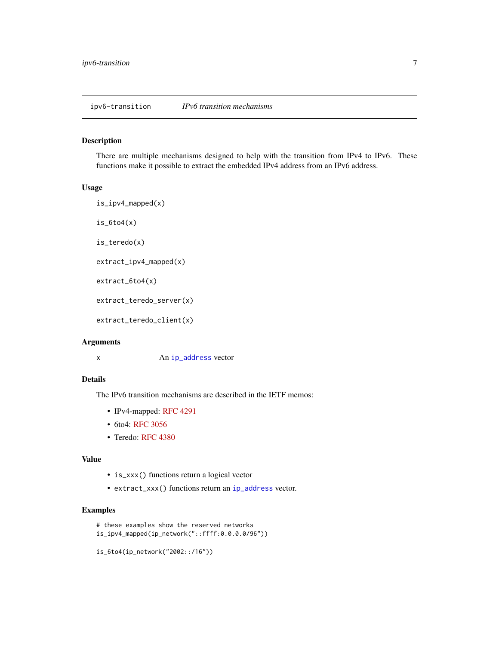#### <span id="page-6-2"></span><span id="page-6-1"></span><span id="page-6-0"></span>Description

There are multiple mechanisms designed to help with the transition from IPv4 to IPv6. These functions make it possible to extract the embedded IPv4 address from an IPv6 address.

# Usage

```
is_ipv4_mapped(x)
is_6to4(x)is_teredo(x)
extract_ipv4_mapped(x)
extract_6to4(x)
extract_teredo_server(x)
extract_teredo_client(x)
```
#### Arguments

x An [ip\\_address](#page-7-1) vector

# Details

The IPv6 transition mechanisms are described in the IETF memos:

- IPv4-mapped: [RFC 4291](https://tools.ietf.org/html/rfc4291)
- 6to4: [RFC 3056](https://tools.ietf.org/html/rfc3056.html)
- Teredo: [RFC 4380](https://tools.ietf.org/html/rfc4380)

#### Value

- is\_xxx() functions return a logical vector
- extract\_xxx() functions return an [ip\\_address](#page-7-1) vector.

# Examples

```
# these examples show the reserved networks
is_ipv4_mapped(ip_network("::ffff:0.0.0.0/96"))
```

```
is_6to4(ip_network("2002::/16"))
```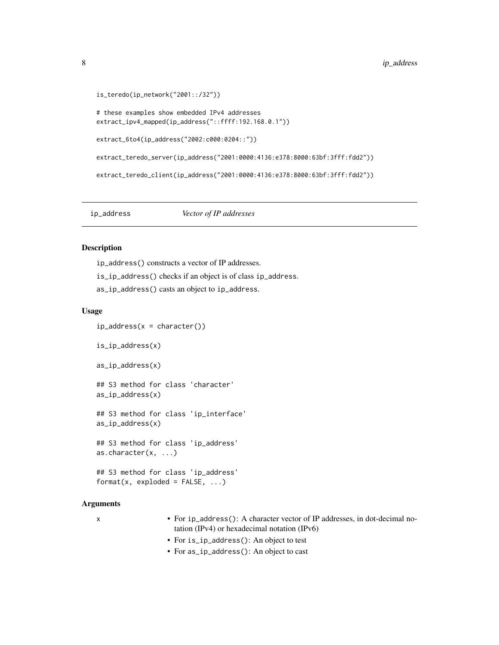```
is_teredo(ip_network("2001::/32"))
# these examples show embedded IPv4 addresses
extract_ipv4_mapped(ip_address("::ffff:192.168.0.1"))
extract_6to4(ip_address("2002:c000:0204::"))
extract_teredo_server(ip_address("2001:0000:4136:e378:8000:63bf:3fff:fdd2"))
extract_teredo_client(ip_address("2001:0000:4136:e378:8000:63bf:3fff:fdd2"))
```
# <span id="page-7-1"></span>ip\_address *Vector of IP addresses*

# <span id="page-7-2"></span>Description

ip\_address() constructs a vector of IP addresses. is\_ip\_address() checks if an object is of class ip\_address. as\_ip\_address() casts an object to ip\_address.

#### Usage

```
ip\_address(x = character())is_ip_address(x)
as_ip_address(x)
## S3 method for class 'character'
as_ip_address(x)
## S3 method for class 'ip_interface'
as_ip_address(x)
## S3 method for class 'ip_address'
as.character(x, ...)
## S3 method for class 'ip_address'
format(x, exploded = FALSE, ...)
```
### Arguments

- x For ip\_address(): A character vector of IP addresses, in dot-decimal notation (IPv4) or hexadecimal notation (IPv6)
	- For is\_ip\_address(): An object to test
	- For as\_ip\_address(): An object to cast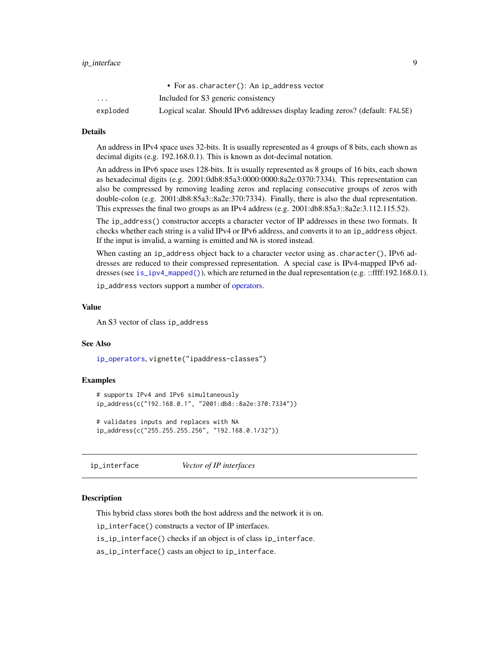# <span id="page-8-0"></span>ip\_interface 9

|          | • For as. character(): An ip_address vector                                   |
|----------|-------------------------------------------------------------------------------|
| $\cdots$ | Included for S3 generic consistency                                           |
| exploded | Logical scalar. Should IPv6 addresses display leading zeros? (default: FALSE) |

#### Details

An address in IPv4 space uses 32-bits. It is usually represented as 4 groups of 8 bits, each shown as decimal digits (e.g. 192.168.0.1). This is known as dot-decimal notation.

An address in IPv6 space uses 128-bits. It is usually represented as 8 groups of 16 bits, each shown as hexadecimal digits (e.g. 2001:0db8:85a3:0000:0000:8a2e:0370:7334). This representation can also be compressed by removing leading zeros and replacing consecutive groups of zeros with double-colon (e.g. 2001:db8:85a3::8a2e:370:7334). Finally, there is also the dual representation. This expresses the final two groups as an IPv4 address (e.g. 2001:db8:85a3::8a2e:3.112.115.52).

The ip\_address() constructor accepts a character vector of IP addresses in these two formats. It checks whether each string is a valid IPv4 or IPv6 address, and converts it to an ip\_address object. If the input is invalid, a warning is emitted and NA is stored instead.

When casting an ip\_address object back to a character vector using as. character(), IPv6 addresses are reduced to their compressed representation. A special case is IPv4-mapped IPv6 addresses (see [is\\_ipv4\\_mapped\(\)](#page-6-1)), which are returned in the dual representation (e.g. ::ffff:192.168.0.1).

ip\_address vectors support a number of [operators.](#page-12-1)

#### Value

An S3 vector of class ip\_address

#### See Also

[ip\\_operators](#page-12-1), vignette("ipaddress-classes")

#### Examples

```
# supports IPv4 and IPv6 simultaneously
ip_address(c("192.168.0.1", "2001:db8::8a2e:370:7334"))
# validates inputs and replaces with NA
ip_address(c("255.255.255.256", "192.168.0.1/32"))
```
<span id="page-8-1"></span>ip\_interface *Vector of IP interfaces*

#### **Description**

This hybrid class stores both the host address and the network it is on.

ip\_interface() constructs a vector of IP interfaces.

is\_ip\_interface() checks if an object is of class ip\_interface.

as\_ip\_interface() casts an object to ip\_interface.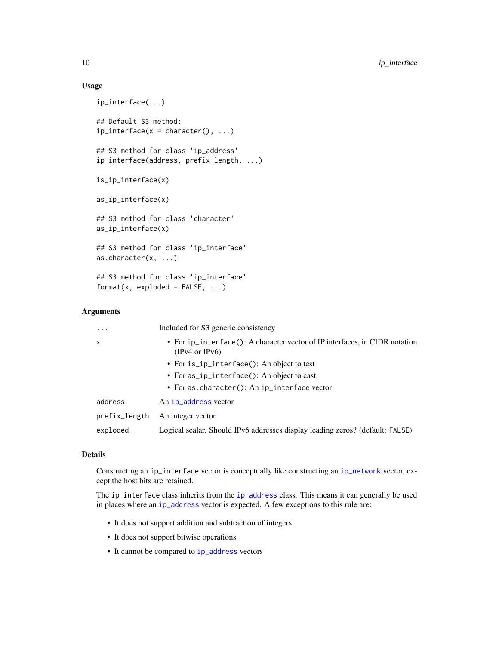# Usage

```
ip_interface(...)
## Default S3 method:
ip_interface(x = character(), ...)
## S3 method for class 'ip_address'
ip_interface(address, prefix_length, ...)
is_ip_interface(x)
as_ip_interface(x)
## S3 method for class 'character'
as_ip_interface(x)
## S3 method for class 'ip_interface'
as.character(x, ...)
## S3 method for class 'ip_interface'
format(x, exploded = FALSE, ...)
```
#### Arguments

| .             | Included for S3 generic consistency                                                           |
|---------------|-----------------------------------------------------------------------------------------------|
| $\mathsf{x}$  | • For ip_interface(): A character vector of IP interfaces, in CIDR notation<br>(IPv4 or IPv6) |
|               | • For is_ip_interface(): An object to test                                                    |
|               | • For as_ip_interface(): An object to cast                                                    |
|               | • For as. character(): An ip_interface vector                                                 |
| address       | An ip_address vector                                                                          |
| prefix_length | An integer vector                                                                             |
| exploded      | Logical scalar. Should IPv6 addresses display leading zeros? (default: FALSE)                 |

# Details

Constructing an ip\_interface vector is conceptually like constructing an [ip\\_network](#page-10-1) vector, except the host bits are retained.

The ip\_interface class inherits from the [ip\\_address](#page-7-1) class. This means it can generally be used in places where an [ip\\_address](#page-7-1) vector is expected. A few exceptions to this rule are:

- It does not support addition and subtraction of integers
- It does not support bitwise operations
- It cannot be compared to [ip\\_address](#page-7-1) vectors

<span id="page-9-0"></span>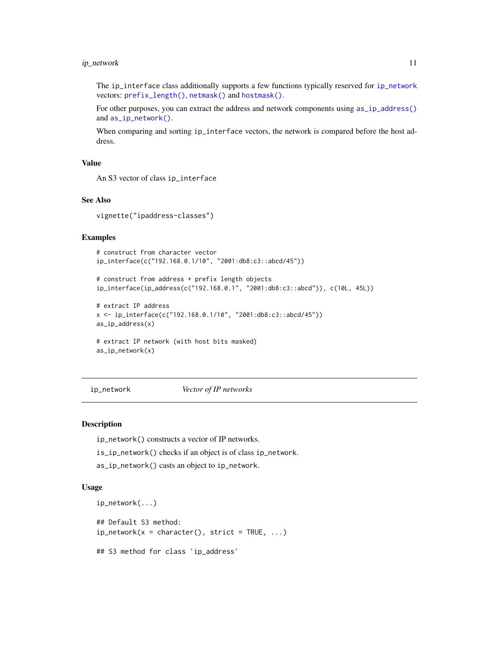# <span id="page-10-0"></span>ip\_network 11

The ip\_interface class additionally supports a few functions typically reserved for [ip\\_network](#page-10-1) vectors: [prefix\\_length\(\)](#page-21-1), [netmask\(\)](#page-21-2) and [hostmask\(\)](#page-21-1).

For other purposes, you can extract the address and network components using [as\\_ip\\_address\(\)](#page-7-2) and [as\\_ip\\_network\(\)](#page-10-2).

When comparing and sorting ip\_interface vectors, the network is compared before the host address.

#### Value

An S3 vector of class ip\_interface

# See Also

vignette("ipaddress-classes")

# Examples

```
# construct from character vector
ip_interface(c("192.168.0.1/10", "2001:db8:c3::abcd/45"))
```
# construct from address + prefix length objects ip\_interface(ip\_address(c("192.168.0.1", "2001:db8:c3::abcd")), c(10L, 45L))

```
# extract IP address
x <- ip_interface(c("192.168.0.1/10", "2001:db8:c3::abcd/45"))
as_ip_address(x)
```

```
# extract IP network (with host bits masked)
as_ip_network(x)
```
<span id="page-10-1"></span>ip\_network *Vector of IP networks*

#### <span id="page-10-2"></span>Description

ip\_network() constructs a vector of IP networks.

- is\_ip\_network() checks if an object is of class ip\_network.
- as\_ip\_network() casts an object to ip\_network.

# Usage

```
ip_network(...)
## Default S3 method:
ip_{\text{network}}(x = \text{character}(), \text{strict} = \text{TRUE}, ...)## S3 method for class 'ip_address'
```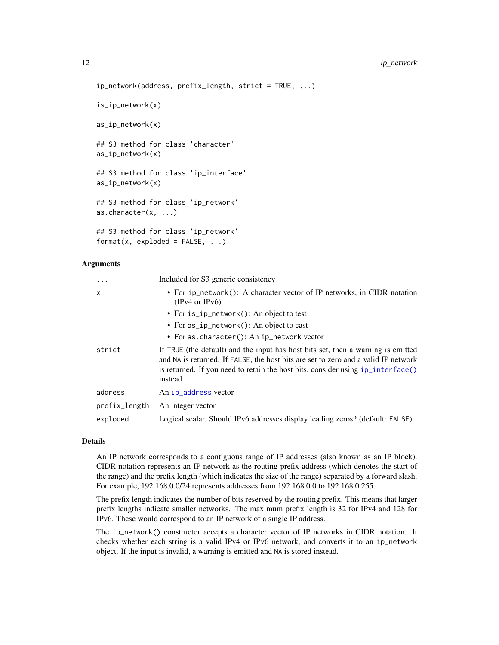# <span id="page-11-0"></span>12 ip\_network is a set of the set of the set of the set of the set of the set of the set of the set of the set of the set of the set of the set of the set of the set of the set of the set of the set of the set of the set o

```
ip_network(address, prefix_length, strict = TRUE, ...)
is_ip_network(x)
as_ip_network(x)
## S3 method for class 'character'
as_ip_network(x)
## S3 method for class 'ip_interface'
as_ip_network(x)
## S3 method for class 'ip_network'
as.character(x, ...)
```
## S3 method for class 'ip\_network'  $format(x, exploded = FALSE, ...)$ 

#### Arguments

| $\cdot$       | Included for S3 generic consistency                                                                                                                                                                                                                                      |
|---------------|--------------------------------------------------------------------------------------------------------------------------------------------------------------------------------------------------------------------------------------------------------------------------|
| $\mathsf{x}$  | • For ip_network(): A character vector of IP networks, in CIDR notation<br>(IPv4 or IPv6)                                                                                                                                                                                |
|               | • For is_ip_network(): An object to test                                                                                                                                                                                                                                 |
|               | • For $as_i$ ip_network(): An object to cast                                                                                                                                                                                                                             |
|               | • For as. character(): An ip_network vector                                                                                                                                                                                                                              |
| strict        | If TRUE (the default) and the input has host bits set, then a warning is emitted<br>and NA is returned. If FALSE, the host bits are set to zero and a valid IP network<br>is returned. If you need to retain the host bits, consider using $ip_$ interface()<br>instead. |
| address       | An ip_address vector                                                                                                                                                                                                                                                     |
| prefix_length | An integer vector                                                                                                                                                                                                                                                        |
| exploded      | Logical scalar. Should IPv6 addresses display leading zeros? (default: FALSE)                                                                                                                                                                                            |

#### Details

An IP network corresponds to a contiguous range of IP addresses (also known as an IP block). CIDR notation represents an IP network as the routing prefix address (which denotes the start of the range) and the prefix length (which indicates the size of the range) separated by a forward slash. For example, 192.168.0.0/24 represents addresses from 192.168.0.0 to 192.168.0.255.

The prefix length indicates the number of bits reserved by the routing prefix. This means that larger prefix lengths indicate smaller networks. The maximum prefix length is 32 for IPv4 and 128 for IPv6. These would correspond to an IP network of a single IP address.

The ip\_network() constructor accepts a character vector of IP networks in CIDR notation. It checks whether each string is a valid IPv4 or IPv6 network, and converts it to an ip\_network object. If the input is invalid, a warning is emitted and NA is stored instead.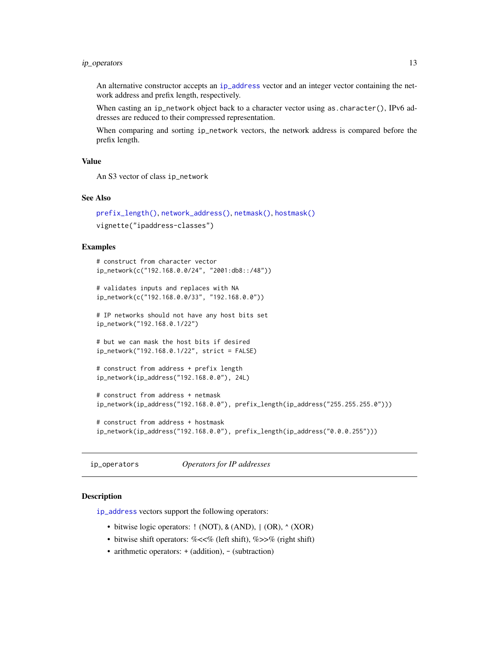# <span id="page-12-0"></span>ip\_operators 13

An alternative constructor accepts an [ip\\_address](#page-7-1) vector and an integer vector containing the network address and prefix length, respectively.

When casting an ip\_network object back to a character vector using as.character(), IPv6 addresses are reduced to their compressed representation.

When comparing and sorting ip\_network vectors, the network address is compared before the prefix length.

# Value

An S3 vector of class ip\_network

#### See Also

```
prefix_length(), network_address(), netmask(), hostmask()
vignette("ipaddress-classes")
```
#### Examples

```
# construct from character vector
ip_network(c("192.168.0.0/24", "2001:db8::/48"))
# validates inputs and replaces with NA
ip_network(c("192.168.0.0/33", "192.168.0.0"))
# IP networks should not have any host bits set
ip_network("192.168.0.1/22")
# but we can mask the host bits if desired
ip_network("192.168.0.1/22", strict = FALSE)
# construct from address + prefix length
ip_network(ip_address("192.168.0.0"), 24L)
# construct from address + netmask
ip_network(ip_address("192.168.0.0"), prefix_length(ip_address("255.255.255.0")))
# construct from address + hostmask
ip_network(ip_address("192.168.0.0"), prefix_length(ip_address("0.0.0.255")))
```
<span id="page-12-1"></span>ip\_operators *Operators for IP addresses*

#### **Description**

[ip\\_address](#page-7-1) vectors support the following operators:

- bitwise logic operators: ! (NOT), & (AND), | (OR),  $\land$  (XOR)
- bitwise shift operators: %<<% (left shift), %>>% (right shift)
- arithmetic operators: + (addition), (subtraction)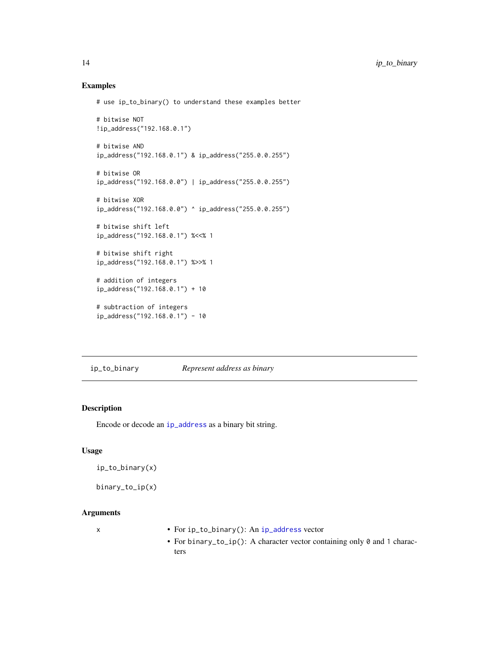### Examples

```
# use ip_to_binary() to understand these examples better
# bitwise NOT
!ip_address("192.168.0.1")
# bitwise AND
ip_address("192.168.0.1") & ip_address("255.0.0.255")
# bitwise OR
ip_address("192.168.0.0") | ip_address("255.0.0.255")
# bitwise XOR
ip_address("192.168.0.0") ^ ip_address("255.0.0.255")
# bitwise shift left
ip_address("192.168.0.1") %<<% 1
# bitwise shift right
ip_address("192.168.0.1") %>>% 1
# addition of integers
ip_address("192.168.0.1") + 10
# subtraction of integers
ip_address("192.168.0.1") - 10
```
<span id="page-13-1"></span>ip\_to\_binary *Represent address as binary*

# <span id="page-13-2"></span>Description

Encode or decode an [ip\\_address](#page-7-1) as a binary bit string.

# Usage

ip\_to\_binary(x)

binary\_to\_ip(x)

#### Arguments

- x For ip\_to\_binary(): An [ip\\_address](#page-7-1) vector
	- For binary\_to\_ip(): A character vector containing only 0 and 1 characters

<span id="page-13-0"></span>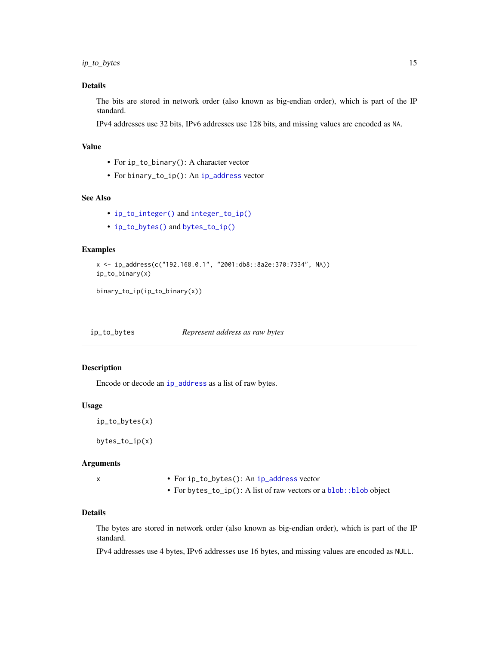# <span id="page-14-0"></span>Details

The bits are stored in network order (also known as big-endian order), which is part of the IP standard.

IPv4 addresses use 32 bits, IPv6 addresses use 128 bits, and missing values are encoded as NA.

# Value

- For ip\_to\_binary(): A character vector
- For binary\_to\_ip(): An [ip\\_address](#page-7-1) vector

# See Also

- [ip\\_to\\_integer\(\)](#page-16-1) and [integer\\_to\\_ip\(\)](#page-16-2)
- [ip\\_to\\_bytes\(\)](#page-14-1) and [bytes\\_to\\_ip\(\)](#page-14-2)

#### Examples

```
x <- ip_address(c("192.168.0.1", "2001:db8::8a2e:370:7334", NA))
ip_to_binary(x)
```
binary\_to\_ip(ip\_to\_binary(x))

<span id="page-14-1"></span>ip\_to\_bytes *Represent address as raw bytes*

# <span id="page-14-2"></span>Description

Encode or decode an [ip\\_address](#page-7-1) as a list of raw bytes.

#### Usage

```
ip_to_bytes(x)
```
bytes\_to\_ip(x)

#### Arguments

x • For ip\_to\_bytes(): An [ip\\_address](#page-7-1) vector

• For bytes\_to\_ip(): A list of raw vectors or a [blob::blob](#page-0-0) object

# Details

The bytes are stored in network order (also known as big-endian order), which is part of the IP standard.

IPv4 addresses use 4 bytes, IPv6 addresses use 16 bytes, and missing values are encoded as NULL.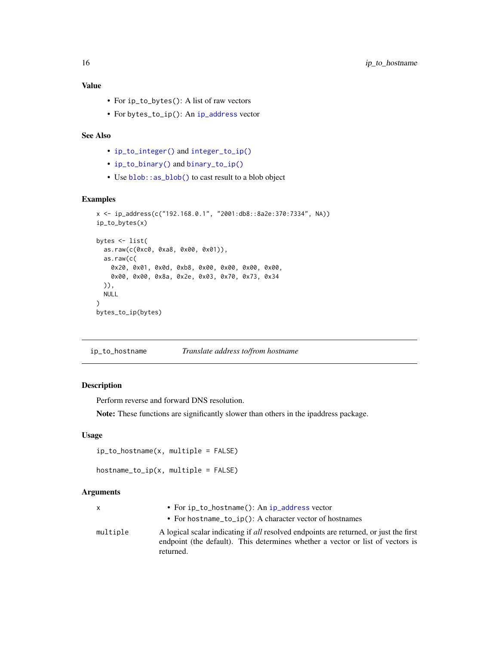# <span id="page-15-0"></span>Value

- For ip\_to\_bytes(): A list of raw vectors
- For bytes\_to\_ip(): An [ip\\_address](#page-7-1) vector

# See Also

- [ip\\_to\\_integer\(\)](#page-16-1) and [integer\\_to\\_ip\(\)](#page-16-2)
- [ip\\_to\\_binary\(\)](#page-13-1) and [binary\\_to\\_ip\(\)](#page-13-2)
- Use [blob::as\\_blob\(\)](#page-0-0) to cast result to a blob object

# Examples

```
x <- ip_address(c("192.168.0.1", "2001:db8::8a2e:370:7334", NA))
ip_to_bytes(x)
bytes <- list(
  as.raw(c(0xc0, 0xa8, 0x00, 0x01)),
  as.raw(c(
   0x20, 0x01, 0x0d, 0xb8, 0x00, 0x00, 0x00, 0x00,
   0x00, 0x00, 0x8a, 0x2e, 0x03, 0x70, 0x73, 0x34
  )),
  NULL
)
bytes_to_ip(bytes)
```
ip\_to\_hostname *Translate address to/from hostname*

# Description

Perform reverse and forward DNS resolution.

Note: These functions are significantly slower than others in the ipaddress package.

# Usage

```
ip_to_hostname(x, multiple = FALSE)
```

```
hostname_to_ip(x, multiple = FALSE)
```
#### Arguments

| X        | • For $ip\_to\_hostname()$ : An $ip\_address$ vector                                                                                                                                 |
|----------|--------------------------------------------------------------------------------------------------------------------------------------------------------------------------------------|
|          | • For hostname_to_ip(): A character vector of hostnames                                                                                                                              |
| multiple | A logical scalar indicating if all resolved endpoints are returned, or just the first<br>endpoint (the default). This determines whether a vector or list of vectors is<br>returned. |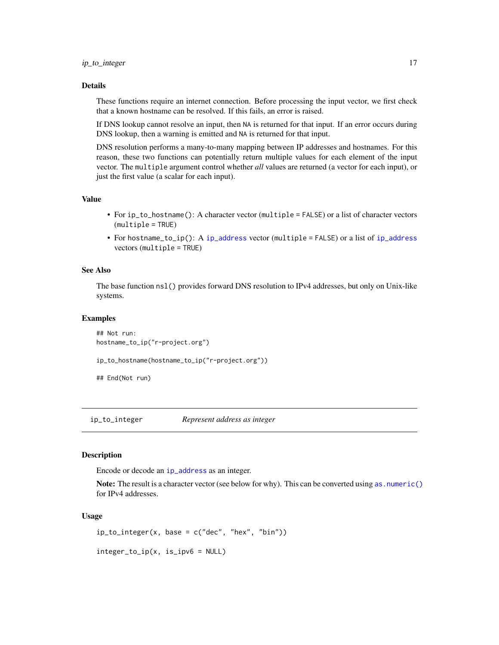### <span id="page-16-0"></span>Details

These functions require an internet connection. Before processing the input vector, we first check that a known hostname can be resolved. If this fails, an error is raised.

If DNS lookup cannot resolve an input, then NA is returned for that input. If an error occurs during DNS lookup, then a warning is emitted and NA is returned for that input.

DNS resolution performs a many-to-many mapping between IP addresses and hostnames. For this reason, these two functions can potentially return multiple values for each element of the input vector. The multiple argument control whether *all* values are returned (a vector for each input), or just the first value (a scalar for each input).

#### Value

- For ip\_to\_hostname(): A character vector (multiple = FALSE) or a list of character vectors (multiple = TRUE)
- For hostname\_to\_ip(): A [ip\\_address](#page-7-1) vector (multiple = FALSE) or a list of [ip\\_address](#page-7-1) vectors (multiple = TRUE)

#### See Also

The base function nsl() provides forward DNS resolution to IPv4 addresses, but only on Unix-like systems.

#### Examples

```
## Not run:
hostname_to_ip("r-project.org")
```

```
ip_to_hostname(hostname_to_ip("r-project.org"))
```

```
## End(Not run)
```
<span id="page-16-1"></span>ip\_to\_integer *Represent address as integer*

#### <span id="page-16-2"></span>Description

Encode or decode an [ip\\_address](#page-7-1) as an integer.

Note: The result is a character vector (see below for why). This can be converted using as. numeric() for IPv4 addresses.

#### Usage

```
ip_to_inter{space(x, base = c("dec", "hex", "bin"))
```
integer\_to\_ip(x, is\_ipv6 = NULL)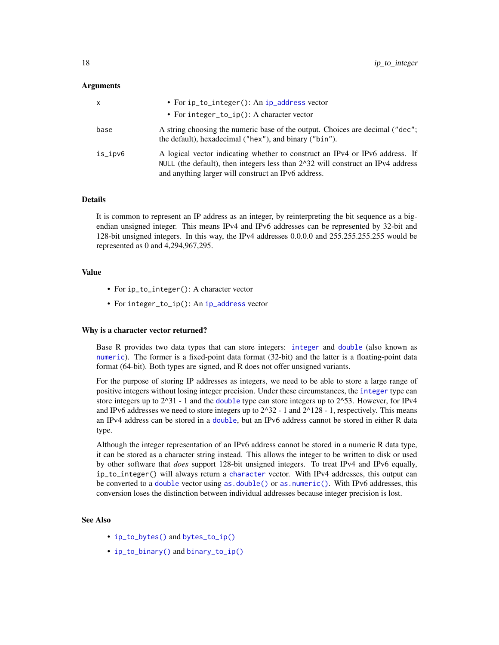#### <span id="page-17-0"></span>Arguments

| x       | • For ip_to_integer(): An ip_address vector                                                                                                                                                                                         |
|---------|-------------------------------------------------------------------------------------------------------------------------------------------------------------------------------------------------------------------------------------|
|         | • For integer_to_ip(): A character vector                                                                                                                                                                                           |
| base    | A string choosing the numeric base of the output. Choices are decimal ("dec";<br>the default), hexadecimal ("hex"), and binary ("bin").                                                                                             |
| is_ipv6 | A logical vector indicating whether to construct an IPv4 or IPv6 address. If<br>NULL (the default), then integers less than $2^{\wedge}32$ will construct an IP $v4$ address<br>and anything larger will construct an IPv6 address. |

#### Details

It is common to represent an IP address as an integer, by reinterpreting the bit sequence as a bigendian unsigned integer. This means IPv4 and IPv6 addresses can be represented by 32-bit and 128-bit unsigned integers. In this way, the IPv4 addresses 0.0.0.0 and 255.255.255.255 would be represented as 0 and 4,294,967,295.

### Value

- For ip\_to\_integer(): A character vector
- For integer\_to\_ip(): An [ip\\_address](#page-7-1) vector

#### Why is a character vector returned?

Base R provides two data types that can store integers: [integer](#page-0-0) and [double](#page-0-0) (also known as [numeric](#page-0-0)). The former is a fixed-point data format (32-bit) and the latter is a floating-point data format (64-bit). Both types are signed, and R does not offer unsigned variants.

For the purpose of storing IP addresses as integers, we need to be able to store a large range of positive integers without losing integer precision. Under these circumstances, the [integer](#page-0-0) type can store integers up to  $2^{\wedge}31$  - 1 and the [double](#page-0-0) type can store integers up to  $2^{\wedge}53$ . However, for IPv4 and IPv6 addresses we need to store integers up to  $2^{\wedge}32 - 1$  and  $2^{\wedge}128 - 1$ , respectively. This means an IPv4 address can be stored in a [double](#page-0-0), but an IPv6 address cannot be stored in either R data type.

Although the integer representation of an IPv6 address cannot be stored in a numeric R data type, it can be stored as a character string instead. This allows the integer to be written to disk or used by other software that *does* support 128-bit unsigned integers. To treat IPv4 and IPv6 equally, ip\_to\_integer() will always return a [character](#page-0-0) vector. With IPv4 addresses, this output can be converted to a [double](#page-0-0) vector using [as.double\(\)](#page-0-0) or [as.numeric\(\)](#page-0-0). With IPv6 addresses, this conversion loses the distinction between individual addresses because integer precision is lost.

# See Also

- [ip\\_to\\_bytes\(\)](#page-14-1) and [bytes\\_to\\_ip\(\)](#page-14-2)
- [ip\\_to\\_binary\(\)](#page-13-1) and [binary\\_to\\_ip\(\)](#page-13-2)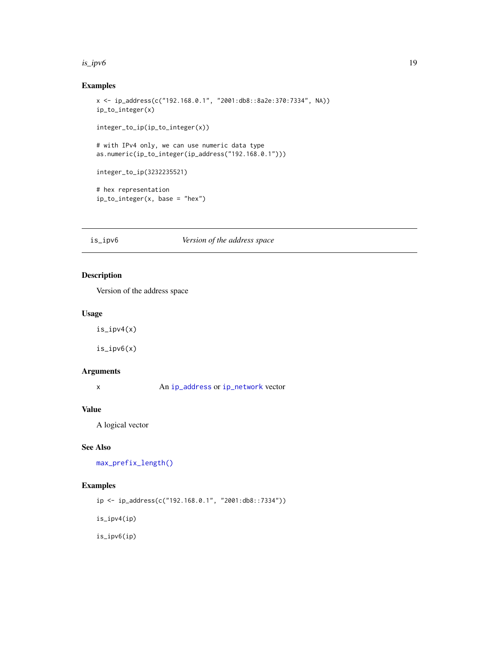#### <span id="page-18-0"></span> $is\_ipv6$  19

# Examples

```
x <- ip_address(c("192.168.0.1", "2001:db8::8a2e:370:7334", NA))
ip_to_integer(x)
integer_to_ip(ip_to_integer(x))
# with IPv4 only, we can use numeric data type
as.numeric(ip_to_integer(ip_address("192.168.0.1")))
integer_to_ip(3232235521)
# hex representation
ip_to_integer(x, base = "hex")
```
#### <span id="page-18-2"></span>is\_ipv6 *Version of the address space*

# <span id="page-18-1"></span>Description

Version of the address space

# Usage

is\_ipv4(x)

is\_ipv6(x)

# Arguments

x An [ip\\_address](#page-7-1) or [ip\\_network](#page-10-1) vector

# Value

A logical vector

# See Also

[max\\_prefix\\_length\(\)](#page-20-1)

# Examples

ip <- ip\_address(c("192.168.0.1", "2001:db8::7334"))

is\_ipv4(ip)

is\_ipv6(ip)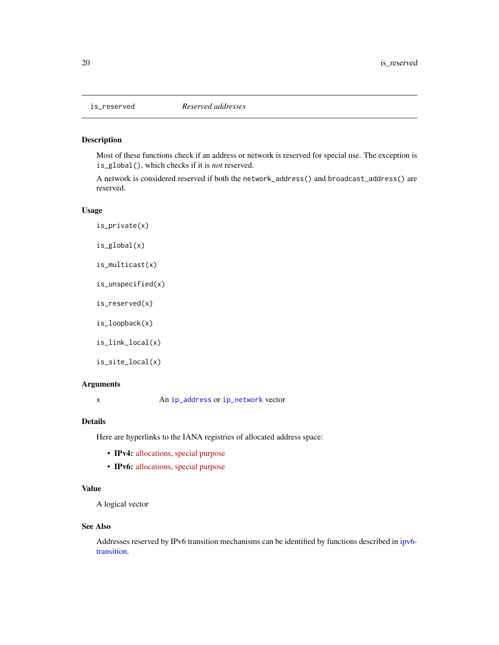<span id="page-19-1"></span><span id="page-19-0"></span>

# Description

Most of these functions check if an address or network is reserved for special use. The exception is is\_global(), which checks if it is *not* reserved.

A network is considered reserved if both the network\_address() and broadcast\_address() are reserved.

# Usage

is\_private(x) is\_global(x) is\_multicast(x) is\_unspecified(x) is\_reserved(x) is\_loopback(x) is\_link\_local(x) is\_site\_local(x)

#### Arguments

x An [ip\\_address](#page-7-1) or [ip\\_network](#page-10-1) vector

#### Details

Here are hyperlinks to the IANA registries of allocated address space:

- IPv4: [allocations,](https://www.iana.org/assignments/ipv4-address-space/ipv4-address-space.xhtml) [special purpose](https://www.iana.org/assignments/iana-ipv4-special-registry/iana-ipv4-special-registry.xhtml)
- **IPv6:** [allocations,](https://www.iana.org/assignments/ipv6-address-space/ipv6-address-space.xhtml) [special purpose](https://www.iana.org/assignments/iana-ipv6-special-registry/iana-ipv6-special-registry.xhtml)

# Value

A logical vector

#### See Also

Addresses reserved by IPv6 transition mechanisms can be identified by functions described in [ipv6](#page-6-2) [transition.](#page-6-2)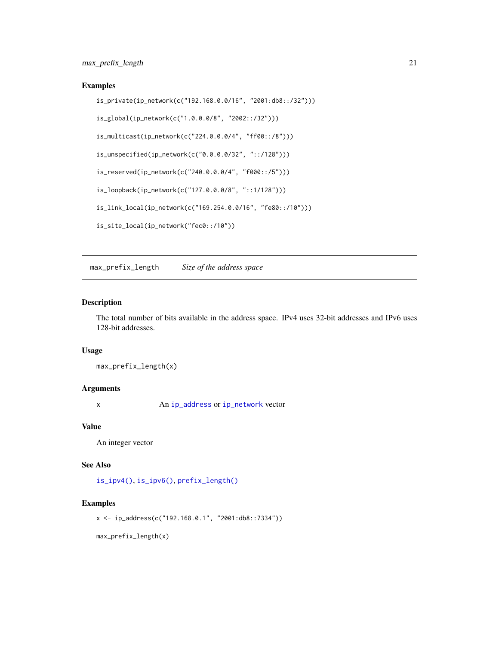# <span id="page-20-0"></span>Examples

```
is_private(ip_network(c("192.168.0.0/16", "2001:db8::/32")))
is_global(ip_network(c("1.0.0.0/8", "2002::/32")))
is_multicast(ip_network(c("224.0.0.0/4", "ff00::/8")))
is_unspecified(ip_network(c("0.0.0.0/32", "::/128")))
is_reserved(ip_network(c("240.0.0.0/4", "f000::/5")))
is_loopback(ip_network(c("127.0.0.0/8", "::1/128")))
is_link_local(ip_network(c("169.254.0.0/16", "fe80::/10")))
is_site_local(ip_network("fec0::/10"))
```
<span id="page-20-1"></span>max\_prefix\_length *Size of the address space*

#### Description

The total number of bits available in the address space. IPv4 uses 32-bit addresses and IPv6 uses 128-bit addresses.

#### Usage

max\_prefix\_length(x)

# **Arguments**

x An [ip\\_address](#page-7-1) or [ip\\_network](#page-10-1) vector

# Value

An integer vector

# See Also

[is\\_ipv4\(\)](#page-18-1), [is\\_ipv6\(\)](#page-18-2), [prefix\\_length\(\)](#page-21-1)

# Examples

x <- ip\_address(c("192.168.0.1", "2001:db8::7334"))

max\_prefix\_length(x)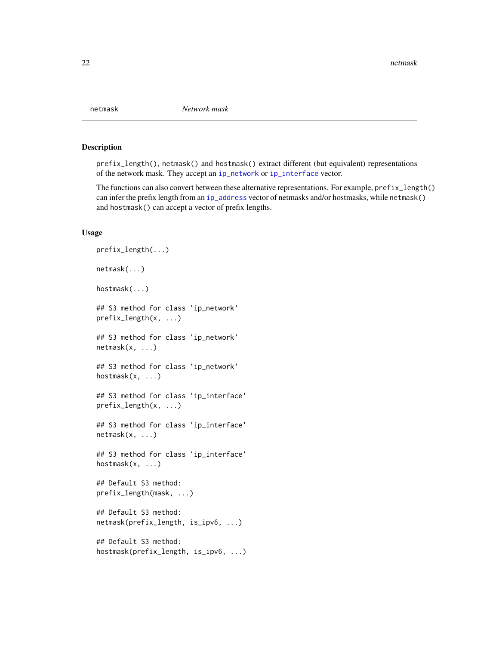<span id="page-21-2"></span><span id="page-21-0"></span>

# <span id="page-21-1"></span>Description

prefix\_length(), netmask() and hostmask() extract different (but equivalent) representations of the network mask. They accept an [ip\\_network](#page-10-1) or [ip\\_interface](#page-8-1) vector.

The functions can also convert between these alternative representations. For example, prefix\_length() can infer the prefix length from an [ip\\_address](#page-7-1) vector of netmasks and/or hostmasks, while netmask() and hostmask() can accept a vector of prefix lengths.

# Usage

```
prefix_length(...)
netmask(...)
hostmask(...)
## S3 method for class 'ip_network'
prefix_length(x, ...)
## S3 method for class 'ip_network'
netmask(x, ...)
## S3 method for class 'ip_network'
hostmask(x, ...)
## S3 method for class 'ip_interface'
prefix_length(x, ...)
## S3 method for class 'ip_interface'
netmask(x, ...)
## S3 method for class 'ip_interface'
hostmask(x, ...)
## Default S3 method:
prefix_length(mask, ...)
## Default S3 method:
netmask(prefix_length, is_ipv6, ...)
## Default S3 method:
hostmask(prefix_length, is_ipv6, ...)
```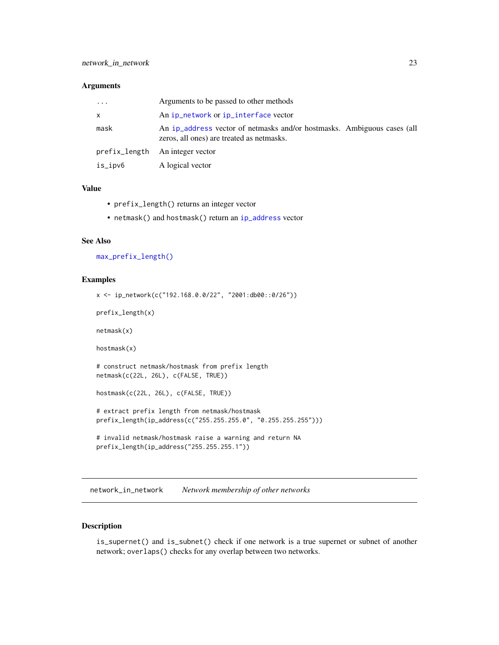#### <span id="page-22-0"></span>**Arguments**

| $\cdot$ | Arguments to be passed to other methods                                                                              |
|---------|----------------------------------------------------------------------------------------------------------------------|
| X       | An ip_network or ip_interface vector                                                                                 |
| mask    | An ip_address vector of netmasks and/or hostmasks. Ambiguous cases (all<br>zeros, all ones) are treated as netmasks. |
|         | prefix_length An integer vector                                                                                      |
| is_ipv6 | A logical vector                                                                                                     |

# Value

- prefix\_length() returns an integer vector
- netmask() and hostmask() return an [ip\\_address](#page-7-1) vector

# See Also

[max\\_prefix\\_length\(\)](#page-20-1)

#### Examples

```
x <- ip_network(c("192.168.0.0/22", "2001:db00::0/26"))
prefix_length(x)
netmask(x)
hostmask(x)
# construct netmask/hostmask from prefix length
netmask(c(22L, 26L), c(FALSE, TRUE))
hostmask(c(22L, 26L), c(FALSE, TRUE))
# extract prefix length from netmask/hostmask
prefix_length(ip_address(c("255.255.255.0", "0.255.255.255")))
# invalid netmask/hostmask raise a warning and return NA
prefix_length(ip_address("255.255.255.1"))
```
network\_in\_network *Network membership of other networks*

# <span id="page-22-1"></span>Description

is\_supernet() and is\_subnet() check if one network is a true supernet or subnet of another network; overlaps() checks for any overlap between two networks.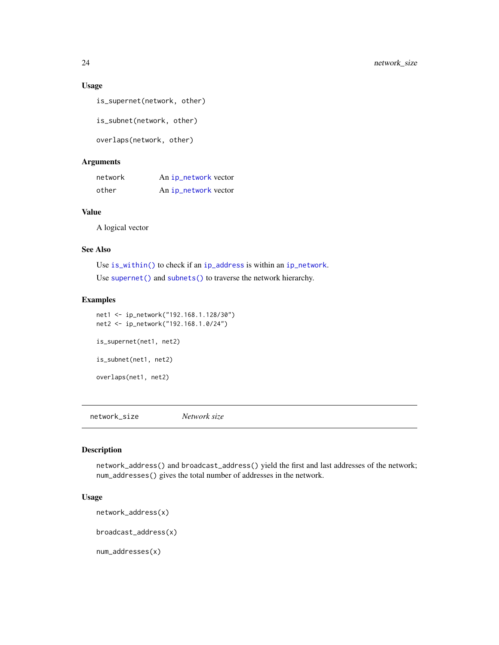# <span id="page-23-0"></span>Usage

```
is_supernet(network, other)
```
is\_subnet(network, other)

```
overlaps(network, other)
```
# Arguments

| network | An ip_network vector |
|---------|----------------------|
| other   | An ip_network vector |

# Value

A logical vector

#### See Also

Use [is\\_within\(\)](#page-1-1) to check if an [ip\\_address](#page-7-1) is within an [ip\\_network](#page-10-1). Use [supernet\(\)](#page-28-1) and [subnets\(\)](#page-28-1) to traverse the network hierarchy.

# Examples

net1 <- ip\_network("192.168.1.128/30") net2 <- ip\_network("192.168.1.0/24") is\_supernet(net1, net2) is\_subnet(net1, net2) overlaps(net1, net2)

network\_size *Network size*

# <span id="page-23-1"></span>Description

network\_address() and broadcast\_address() yield the first and last addresses of the network; num\_addresses() gives the total number of addresses in the network.

# Usage

```
network_address(x)
```
broadcast\_address(x)

num\_addresses(x)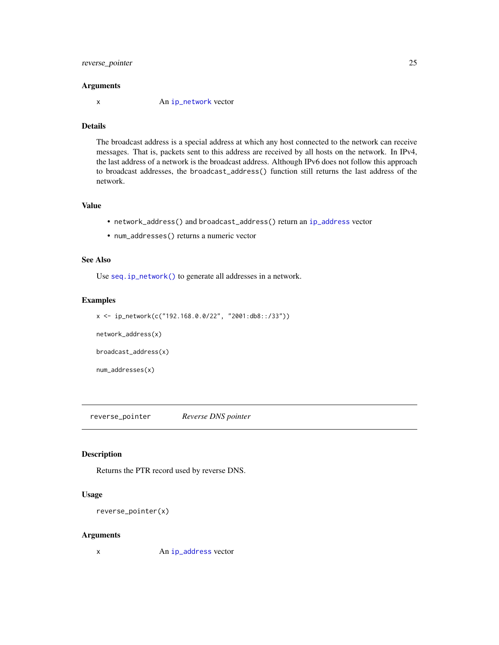# <span id="page-24-0"></span>reverse\_pointer 25

#### **Arguments**

x An [ip\\_network](#page-10-1) vector

# Details

The broadcast address is a special address at which any host connected to the network can receive messages. That is, packets sent to this address are received by all hosts on the network. In IPv4, the last address of a network is the broadcast address. Although IPv6 does not follow this approach to broadcast addresses, the broadcast\_address() function still returns the last address of the network.

# Value

- network\_address() and broadcast\_address() return an [ip\\_address](#page-7-1) vector
- num\_addresses() returns a numeric vector

# See Also

Use [seq.ip\\_network\(\)](#page-26-1) to generate all addresses in a network.

# Examples

```
x <- ip_network(c("192.168.0.0/22", "2001:db8::/33"))
```
network\_address(x)

broadcast\_address(x)

num\_addresses(x)

reverse\_pointer *Reverse DNS pointer*

### Description

Returns the PTR record used by reverse DNS.

# Usage

```
reverse_pointer(x)
```
#### Arguments

x An [ip\\_address](#page-7-1) vector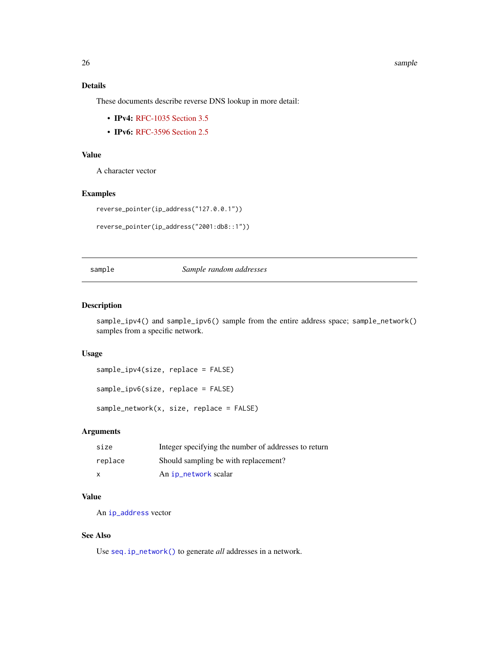#### 26 sample states of the contract of the contract of the contract of the contract of the sample

# Details

These documents describe reverse DNS lookup in more detail:

- IPv4: [RFC-1035 Section 3.5](https://tools.ietf.org/html/rfc1035)
- **IPv6: [RFC-3596 Section 2.5](https://tools.ietf.org/html/rfc3596)**

#### Value

A character vector

# Examples

```
reverse_pointer(ip_address("127.0.0.1"))
```

```
reverse_pointer(ip_address("2001:db8::1"))
```
# sample *Sample random addresses*

#### <span id="page-25-1"></span>Description

sample\_ipv4() and sample\_ipv6() sample from the entire address space; sample\_network() samples from a specific network.

# Usage

```
sample_ipv4(size, replace = FALSE)
```
sample\_ipv6(size, replace = FALSE)

sample\_network(x, size, replace = FALSE)

#### Arguments

| size    | Integer specifying the number of addresses to return |
|---------|------------------------------------------------------|
| replace | Should sampling be with replacement?                 |
| x       | An ip_network scalar                                 |

# Value

An [ip\\_address](#page-7-1) vector

#### See Also

Use [seq.ip\\_network\(\)](#page-26-1) to generate *all* addresses in a network.

<span id="page-25-0"></span>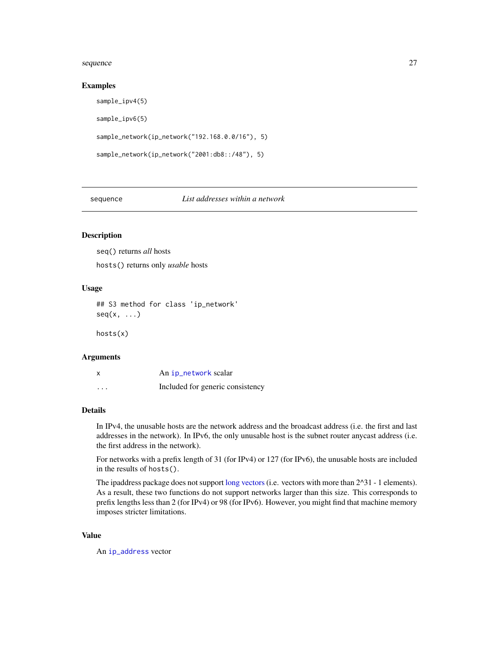#### <span id="page-26-0"></span>sequence 27

#### Examples

```
sample_ipv4(5)
sample_ipv6(5)
sample_network(ip_network("192.168.0.0/16"), 5)
sample_network(ip_network("2001:db8::/48"), 5)
```
sequence *List addresses within a network*

#### <span id="page-26-1"></span>Description

seq() returns *all* hosts hosts() returns only *usable* hosts

#### Usage

## S3 method for class 'ip\_network'  $seq(x, \ldots)$ 

hosts(x)

#### Arguments

| X        | An ip_network scalar             |
|----------|----------------------------------|
| $\cdots$ | Included for generic consistency |

#### Details

In IPv4, the unusable hosts are the network address and the broadcast address (i.e. the first and last addresses in the network). In IPv6, the only unusable host is the subnet router anycast address (i.e. the first address in the network).

For networks with a prefix length of 31 (for IPv4) or 127 (for IPv6), the unusable hosts are included in the results of hosts().

The ipaddress package does not support [long vectors](#page-0-0) (i.e. vectors with more than  $2^{\wedge}31$  - 1 elements). As a result, these two functions do not support networks larger than this size. This corresponds to prefix lengths less than 2 (for IPv4) or 98 (for IPv6). However, you might find that machine memory imposes stricter limitations.

#### Value

An [ip\\_address](#page-7-1) vector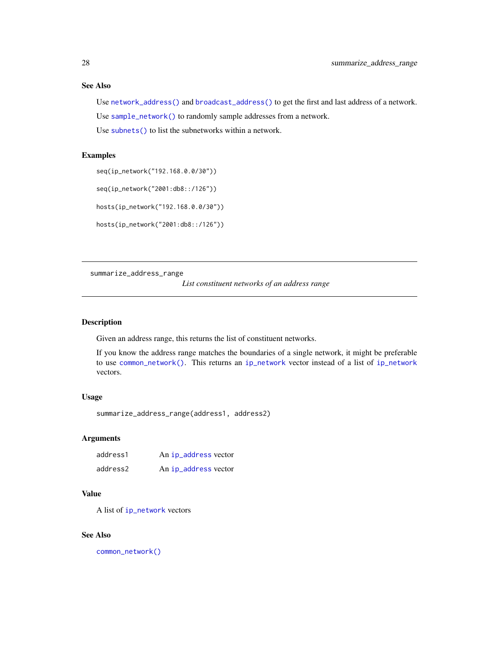# <span id="page-27-0"></span>See Also

Use [network\\_address\(\)](#page-23-1) and [broadcast\\_address\(\)](#page-23-1) to get the first and last address of a network. Use [sample\\_network\(\)](#page-25-1) to randomly sample addresses from a network.

Use [subnets\(\)](#page-28-1) to list the subnetworks within a network.

#### Examples

seq(ip\_network("192.168.0.0/30"))

seq(ip\_network("2001:db8::/126"))

hosts(ip\_network("192.168.0.0/30"))

hosts(ip\_network("2001:db8::/126"))

<span id="page-27-1"></span>summarize\_address\_range

*List constituent networks of an address range*

### Description

Given an address range, this returns the list of constituent networks.

If you know the address range matches the boundaries of a single network, it might be preferable to use [common\\_network\(\)](#page-3-2). This returns an [ip\\_network](#page-10-1) vector instead of a list of [ip\\_network](#page-10-1) vectors.

#### Usage

```
summarize_address_range(address1, address2)
```
# Arguments

| address1 | An ip_address vector |
|----------|----------------------|
| address2 | An ip_address vector |

### Value

A list of [ip\\_network](#page-10-1) vectors

#### See Also

[common\\_network\(\)](#page-3-2)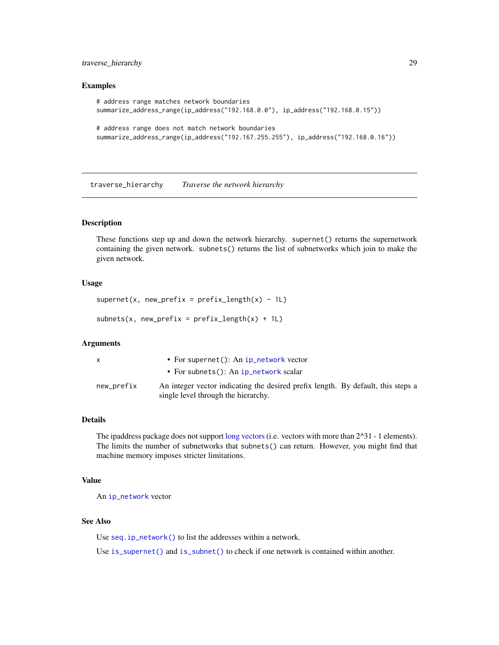# <span id="page-28-0"></span>traverse\_hierarchy 29

#### Examples

```
# address range matches network boundaries
summarize_address_range(ip_address("192.168.0.0"), ip_address("192.168.0.15"))
# address range does not match network boundaries
summarize_address_range(ip_address("192.167.255.255"), ip_address("192.168.0.16"))
```
traverse\_hierarchy *Traverse the network hierarchy*

#### <span id="page-28-1"></span>Description

These functions step up and down the network hierarchy. supernet() returns the supernetwork containing the given network. subnets() returns the list of subnetworks which join to make the given network.

#### Usage

```
supernet(x, new_prefix = prefix_length(x) - 1L)
```
 $subnets(x, new_prefix = prefix_length(x) + 1)$ 

#### Arguments

| x          | • For supernet(): An $ip_{\text{in}}$ network vector                             |
|------------|----------------------------------------------------------------------------------|
|            | • For subnets(): An $ip_{\text{network}}$ scalar                                 |
| new_prefix | An integer vector indicating the desired prefix length. By default, this steps a |
|            | single level through the hierarchy.                                              |

#### Details

The ipaddress package does not support [long vectors](#page-0-0) (i.e. vectors with more than  $2^{\wedge}31 - 1$  elements). The limits the number of subnetworks that subnets() can return. However, you might find that machine memory imposes stricter limitations.

# Value

An [ip\\_network](#page-10-1) vector

# See Also

Use [seq.ip\\_network\(\)](#page-26-1) to list the addresses within a network.

Use [is\\_supernet\(\)](#page-22-1) and [is\\_subnet\(\)](#page-22-1) to check if one network is contained within another.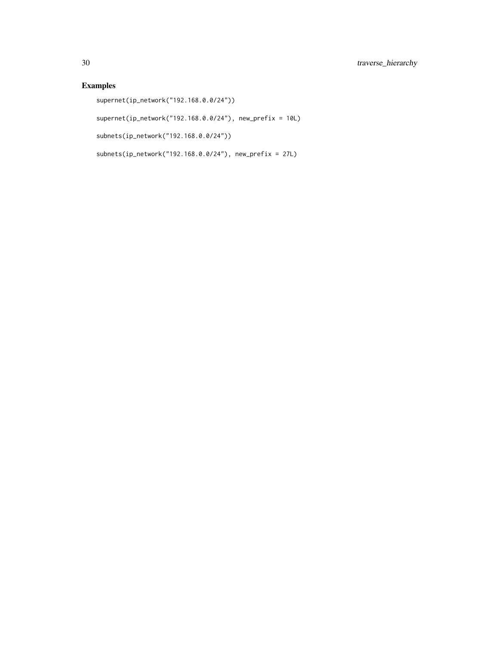# Examples

supernet(ip\_network("192.168.0.0/24"))

supernet(ip\_network("192.168.0.0/24"), new\_prefix = 10L)

subnets(ip\_network("192.168.0.0/24"))

subnets(ip\_network("192.168.0.0/24"), new\_prefix = 27L)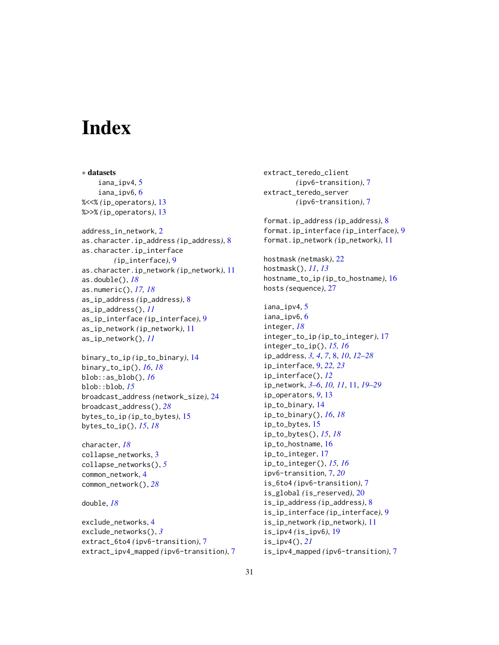# <span id="page-30-0"></span>**Index**

∗ datasets iana\_ipv4, [5](#page-4-0) iana\_ipv6, [6](#page-5-0) %<<% *(*ip\_operators*)*, [13](#page-12-0) %>>% *(*ip\_operators*)*, [13](#page-12-0) address\_in\_network, [2](#page-1-0) as.character.ip\_address *(*ip\_address*)*, [8](#page-7-0) as.character.ip\_interface *(*ip\_interface*)*, [9](#page-8-0) as.character.ip\_network *(*ip\_network*)*, [11](#page-10-0) as.double(), *[18](#page-17-0)* as.numeric(), *[17,](#page-16-0) [18](#page-17-0)* as\_ip\_address *(*ip\_address*)*, [8](#page-7-0) as\_ip\_address(), *[11](#page-10-0)* as\_ip\_interface *(*ip\_interface*)*, [9](#page-8-0) as\_ip\_network *(*ip\_network*)*, [11](#page-10-0) as\_ip\_network(), *[11](#page-10-0)*

```
binary_to_ip (ip_to_binary), 14
binary_to_ip(), 16, 18
blob::as_blob(), 16
blob::blob, 15
broadcast_address (network_size), 24
broadcast_address(), 28
bytes_to_ip (ip_to_bytes), 15
bytes_to_ip(), 15, 18
```
character, *[18](#page-17-0)* collapse\_networks, [3](#page-2-0) collapse\_networks(), *[5](#page-4-0)* common\_network, [4](#page-3-0) common\_network(), *[28](#page-27-0)*

```
double, 18
```

```
exclude_networks, 4
exclude_networks(), 3
extract_6to4 (ipv6-transition), 7
extract_ipv4_mapped (ipv6-transition), 7
```
extract\_teredo\_client *(*ipv6-transition*)*, [7](#page-6-0) extract\_teredo\_server *(*ipv6-transition*)*, [7](#page-6-0) format.ip\_address *(*ip\_address*)*, [8](#page-7-0) format.ip\_interface *(*ip\_interface*)*, [9](#page-8-0) format.ip\_network *(*ip\_network*)*, [11](#page-10-0) hostmask *(*netmask*)*, [22](#page-21-0) hostmask(), *[11](#page-10-0)*, *[13](#page-12-0)* hostname\_to\_ip *(*ip\_to\_hostname*)*, [16](#page-15-0) hosts *(*sequence*)*, [27](#page-26-0) iana\_ipv4, [5](#page-4-0) iana\_ipv6, [6](#page-5-0) integer, *[18](#page-17-0)* integer\_to\_ip *(*ip\_to\_integer*)*, [17](#page-16-0) integer\_to\_ip(), *[15,](#page-14-0) [16](#page-15-0)* ip\_address, *[3,](#page-2-0) [4](#page-3-0)*, *[7](#page-6-0)*, [8,](#page-7-0) *[10](#page-9-0)*, *[12](#page-11-0)[–28](#page-27-0)* ip\_interface, [9,](#page-8-0) *[22,](#page-21-0) [23](#page-22-0)* ip\_interface(), *[12](#page-11-0)* ip\_network, *[3](#page-2-0)[–6](#page-5-0)*, *[10,](#page-9-0) [11](#page-10-0)*, [11,](#page-10-0) *[19](#page-18-0)[–29](#page-28-0)* ip\_operators, *[9](#page-8-0)*, [13](#page-12-0) ip\_to\_binary, [14](#page-13-0) ip\_to\_binary(), *[16](#page-15-0)*, *[18](#page-17-0)* ip\_to\_bytes, [15](#page-14-0) ip\_to\_bytes(), *[15](#page-14-0)*, *[18](#page-17-0)* ip\_to\_hostname, [16](#page-15-0) ip\_to\_integer, [17](#page-16-0) ip\_to\_integer(), *[15,](#page-14-0) [16](#page-15-0)* ipv6-transition, [7,](#page-6-0) *[20](#page-19-0)* is\_6to4 *(*ipv6-transition*)*, [7](#page-6-0) is\_global *(*is\_reserved*)*, [20](#page-19-0) is\_ip\_address *(*ip\_address*)*, [8](#page-7-0) is\_ip\_interface *(*ip\_interface*)*, [9](#page-8-0) is\_ip\_network *(*ip\_network*)*, [11](#page-10-0) is\_ipv4 *(*is\_ipv6*)*, [19](#page-18-0) is\_ipv4(), *[21](#page-20-0)* is\_ipv4\_mapped *(*ipv6-transition*)*, [7](#page-6-0)